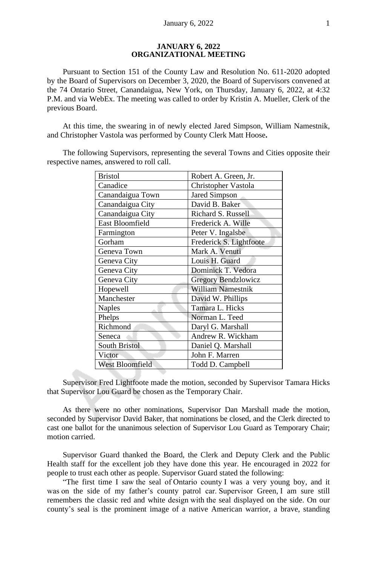### **JANUARY 6, 2022 ORGANIZATIONAL MEETING**

Pursuant to Section 151 of the County Law and Resolution No. 611-2020 adopted by the Board of Supervisors on December 3, 2020, the Board of Supervisors convened at the 74 Ontario Street, Canandaigua, New York, on Thursday, January 6, 2022, at 4:32 P.M. and via WebEx. The meeting was called to order by Kristin A. Mueller, Clerk of the previous Board.

At this time, the swearing in of newly elected Jared Simpson, William Namestnik, and Christopher Vastola was performed by County Clerk Matt Hoose**.**

The following Supervisors, representing the several Towns and Cities opposite their respective names, answered to roll call.

| <b>Bristol</b>   | Robert A. Green, Jr.     |
|------------------|--------------------------|
| Canadice         | Christopher Vastola      |
| Canandaigua Town | Jared Simpson            |
| Canandaigua City | David B. Baker           |
| Canandaigua City | Richard S. Russell       |
| East Bloomfield  | Frederick A. Wille       |
| Farmington       | Peter V. Ingalsbe        |
| Gorham           | Frederick S. Lightfoote  |
| Geneva Town      | Mark A. Venuti           |
| Geneva City      | Louis H. Guard           |
| Geneva City      | Dominick T. Vedora       |
| Geneva City      | Gregory Bendzlowicz      |
| Hopewell         | <b>William Namestnik</b> |
| Manchester       | David W. Phillips        |
| <b>Naples</b>    | Tamara L. Hicks          |
| Phelps           | Norman L. Teed           |
| Richmond         | Daryl G. Marshall        |
| Seneca           | Andrew R. Wickham        |
| South Bristol    | Daniel Q. Marshall       |
| Victor           | John F. Marren           |
| West Bloomfield  | Todd D. Campbell         |

Supervisor Fred Lightfoote made the motion, seconded by Supervisor Tamara Hicks that Supervisor Lou Guard be chosen as the Temporary Chair.

As there were no other nominations, Supervisor Dan Marshall made the motion, seconded by Supervisor David Baker, that nominations be closed, and the Clerk directed to cast one ballot for the unanimous selection of Supervisor Lou Guard as Temporary Chair; motion carried.

Supervisor Guard thanked the Board, the Clerk and Deputy Clerk and the Public Health staff for the excellent job they have done this year. He encouraged in 2022 for people to trust each other as people. Supervisor Guard stated the following:

"The first time I saw the seal of Ontario county I was a very young boy, and it was on the side of my father's county patrol car. Supervisor Green, I am sure still remembers the classic red and white design with the seal displayed on the side. On our county's seal is the prominent image of a native American warrior, a brave, standing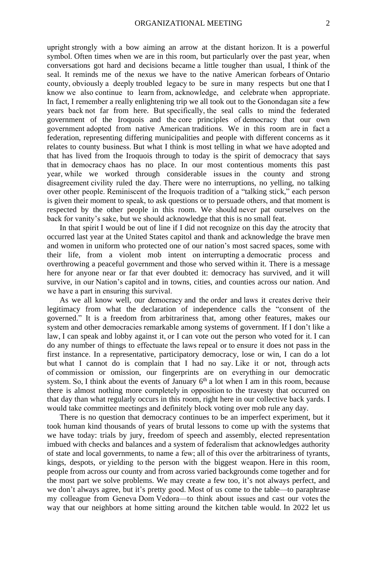upright strongly with a bow aiming an arrow at the distant horizon. It is a powerful symbol. Often times when we are in this room, but particularly over the past year, when conversations got hard and decisions became a little tougher than usual, I think of the seal. It reminds me of the nexus we have to the native American forbears of Ontario county, obviously a deeply troubled legacy to be sure in many respects but one that I know we also continue to learn from, acknowledge, and celebrate when appropriate. In fact, I remember a really enlightening trip we all took out to the Gonondagan site a few years back not far from here. But specifically, the seal calls to mind the federated government of the Iroquois and the core principles of democracy that our own government adopted from native American traditions. We in this room are in fact a federation, representing differing municipalities and people with different concerns as it relates to county business. But what I think is most telling in what we have adopted and that has lived from the Iroquois through to today is the spirit of democracy that says that in democracy chaos has no place. In our most contentious moments this past year, while we worked through considerable issues in the county and strong disagreement civility ruled the day. There were no interruptions, no yelling, no talking over other people. Reminiscent of the Iroquois tradition of a "talking stick," each person is given their moment to speak, to ask questions or to persuade others, and that moment is respected by the other people in this room. We should never pat ourselves on the back for vanity's sake, but we should acknowledge that this is no small feat.

In that spirit I would be out of line if I did not recognize on this day the atrocity that occurred last year at the United States capitol and thank and acknowledge the brave men and women in uniform who protected one of our nation's most sacred spaces, some with their life, from a violent mob intent on interrupting a democratic process and overthrowing a peaceful government and those who served within it. There is a message here for anyone near or far that ever doubted it: democracy has survived, and it will survive, in our Nation's capitol and in towns, cities, and counties across our nation. And we have a part in ensuring this survival.

As we all know well, our democracy and the order and laws it creates derive their legitimacy from what the declaration of independence calls the "consent of the governed." It is a freedom from arbitrariness that, among other features, makes our system and other democracies remarkable among systems of government. If I don't like a law, I can speak and lobby against it, or I can vote out the person who voted for it. I can do any number of things to effectuate the laws repeal or to ensure it does not pass in the first instance. In a representative, participatory democracy, lose or win, I can do a lot but what I cannot do is complain that I had no say. Like it or not, through acts of commission or omission, our fingerprints are on everything in our democratic system. So, I think about the events of January  $6<sup>th</sup>$  a lot when I am in this room, because there is almost nothing more completely in opposition to the travesty that occurred on that day than what regularly occurs in this room, right here in our collective back yards. I would take committee meetings and definitely block voting over mob rule any day.

There is no question that democracy continues to be an imperfect experiment, but it took human kind thousands of years of brutal lessons to come up with the systems that we have today: trials by jury, freedom of speech and assembly, elected representation imbued with checks and balances and a system of federalism that acknowledges authority of state and local governments, to name a few; all of this over the arbitrariness of tyrants, kings, despots, or yielding to the person with the biggest weapon. Here in this room, people from across our county and from across varied backgrounds come together and for the most part we solve problems. We may create a few too, it's not always perfect, and we don't always agree, but it's pretty good. Most of us come to the table—to paraphrase my colleague from Geneva Dom Vedora—to think about issues and cast our votes the way that our neighbors at home sitting around the kitchen table would. In 2022 let us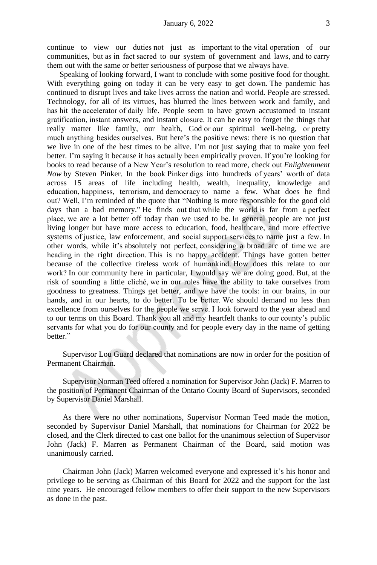continue to view our duties not just as important to the vital operation of our communities, but as in fact sacred to our system of government and laws, and to carry them out with the same or better seriousness of purpose that we always have.

Speaking of looking forward, I want to conclude with some positive food for thought. With everything going on today it can be very easy to get down. The pandemic has continued to disrupt lives and take lives across the nation and world. People are stressed. Technology, for all of its virtues, has blurred the lines between work and family, and has hit the accelerator of daily life. People seem to have grown accustomed to instant gratification, instant answers, and instant closure. It can be easy to forget the things that really matter like family, our health, God or our spiritual well-being, or pretty much anything besides ourselves. But here's the positive news: there is no question that we live in one of the best times to be alive. I'm not just saying that to make you feel better. I'm saying it because it has actually been empirically proven. If you're looking for books to read because of a New Year's resolution to read more, check out *Enlightenment Now* by Steven Pinker. In the book Pinker digs into hundreds of years' worth of data across 15 areas of life including health, wealth, inequality, knowledge and education, happiness, terrorism, and democracy to name a few. What does he find out? Well, I'm reminded of the quote that "Nothing is more responsible for the good old days than a bad memory." He finds out that while the world is far from a perfect place, we are a lot better off today than we used to be. In general people are not just living longer but have more access to education, food, healthcare, and more effective systems of justice, law enforcement, and social support services to name just a few. In other words, while it's absolutely not perfect, considering a broad arc of time we are heading in the right direction. This is no happy accident. Things have gotten better because of the collective tireless work of humankind. How does this relate to our work? In our community here in particular, I would say we are doing good. But, at the risk of sounding a little cliché, we in our roles have the ability to take ourselves from goodness to greatness. Things get better, and we have the tools: in our brains, in our hands, and in our hearts, to do better. To be better. We should demand no less than excellence from ourselves for the people we serve. I look forward to the year ahead and to our terms on this Board. Thank you all and my heartfelt thanks to our county's public servants for what you do for our county and for people every day in the name of getting better."

Supervisor Lou Guard declared that nominations are now in order for the position of Permanent Chairman.

Supervisor Norman Teed offered a nomination for Supervisor John (Jack) F. Marren to the position of Permanent Chairman of the Ontario County Board of Supervisors, seconded by Supervisor Daniel Marshall.

As there were no other nominations, Supervisor Norman Teed made the motion, seconded by Supervisor Daniel Marshall, that nominations for Chairman for 2022 be closed, and the Clerk directed to cast one ballot for the unanimous selection of Supervisor John (Jack) F. Marren as Permanent Chairman of the Board, said motion was unanimously carried.

Chairman John (Jack) Marren welcomed everyone and expressed it's his honor and privilege to be serving as Chairman of this Board for 2022 and the support for the last nine years. He encouraged fellow members to offer their support to the new Supervisors as done in the past.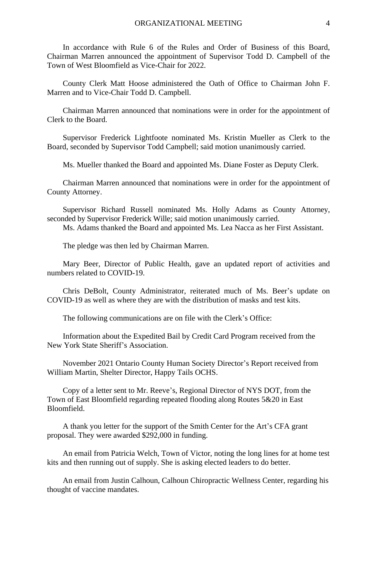In accordance with Rule 6 of the Rules and Order of Business of this Board, Chairman Marren announced the appointment of Supervisor Todd D. Campbell of the Town of West Bloomfield as Vice-Chair for 2022.

County Clerk Matt Hoose administered the Oath of Office to Chairman John F. Marren and to Vice-Chair Todd D. Campbell.

Chairman Marren announced that nominations were in order for the appointment of Clerk to the Board.

Supervisor Frederick Lightfoote nominated Ms. Kristin Mueller as Clerk to the Board, seconded by Supervisor Todd Campbell; said motion unanimously carried.

Ms. Mueller thanked the Board and appointed Ms. Diane Foster as Deputy Clerk.

Chairman Marren announced that nominations were in order for the appointment of County Attorney.

Supervisor Richard Russell nominated Ms. Holly Adams as County Attorney, seconded by Supervisor Frederick Wille; said motion unanimously carried.

Ms. Adams thanked the Board and appointed Ms. Lea Nacca as her First Assistant.

The pledge was then led by Chairman Marren.

Mary Beer, Director of Public Health, gave an updated report of activities and numbers related to COVID-19.

Chris DeBolt, County Administrator, reiterated much of Ms. Beer's update on COVID-19 as well as where they are with the distribution of masks and test kits.

The following communications are on file with the Clerk's Office:

Information about the Expedited Bail by Credit Card Program received from the New York State Sheriff's Association.

November 2021 Ontario County Human Society Director's Report received from William Martin, Shelter Director, Happy Tails OCHS.

Copy of a letter sent to Mr. Reeve's, Regional Director of NYS DOT, from the Town of East Bloomfield regarding repeated flooding along Routes 5&20 in East Bloomfield.

A thank you letter for the support of the Smith Center for the Art's CFA grant proposal. They were awarded \$292,000 in funding.

An email from Patricia Welch, Town of Victor, noting the long lines for at home test kits and then running out of supply. She is asking elected leaders to do better.

An email from Justin Calhoun, Calhoun Chiropractic Wellness Center, regarding his thought of vaccine mandates.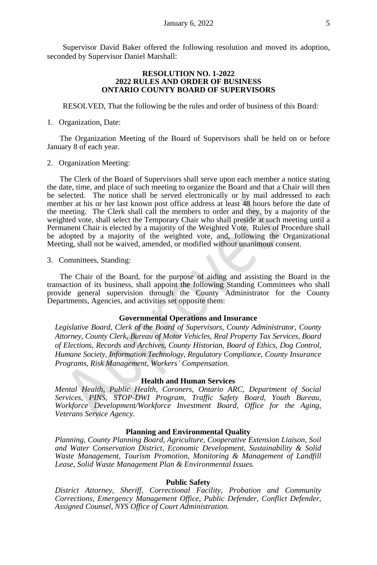Supervisor David Baker offered the following resolution and moved its adoption, seconded by Supervisor Daniel Marshall:

## **RESOLUTION NO. 1-2022 2022 RULES AND ORDER OF BUSINESS ONTARIO COUNTY BOARD OF SUPERVISORS**

RESOLVED, That the following be the rules and order of business of this Board:

## 1. Organization, Date:

The Organization Meeting of the Board of Supervisors shall be held on or before January 8 of each year.

## 2. Organization Meeting:

The Clerk of the Board of Supervisors shall serve upon each member a notice stating the date, time, and place of such meeting to organize the Board and that a Chair will then be selected. The notice shall be served electronically or by mail addressed to each member at his or her last known post office address at least 48 hours before the date of the meeting. The Clerk shall call the members to order and they, by a majority of the weighted vote, shall select the Temporary Chair who shall preside at such meeting until a Permanent Chair is elected by a majority of the Weighted Vote. Rules of Procedure shall be adopted by a majority of the weighted vote, and, following the Organizational Meeting, shall not be waived, amended, or modified without unanimous consent.

3. Committees, Standing:

The Chair of the Board, for the purpose of aiding and assisting the Board in the transaction of its business, shall appoint the following Standing Committees who shall provide general supervision through the County Administrator for the County Departments, Agencies, and activities set opposite them:

## **Governmental Operations and Insurance**

*Legislative Board, Clerk of the Board of Supervisors, County Administrator, County Attorney, County Clerk, Bureau of Motor Vehicles, Real Property Tax Services, Board of Elections, Records and Archives, County Historian, Board of Ethics, Dog Control, Humane Society, Information Technology, Regulatory Compliance, County Insurance Programs, Risk Management, Workers' Compensation.*

## **Health and Human Services**

*Mental Health, Public Health, Coroners, Ontario ARC, Department of Social Services, PINS, STOP-DWI Program, Traffic Safety Board, Youth Bureau, Workforce Development/Workforce Investment Board, Office for the Aging, Veterans Service Agency.*

### **Planning and Environmental Quality**

*Planning, County Planning Board, Agriculture, Cooperative Extension Liaison, Soil and Water Conservation District, Economic Development, Sustainability & Solid Waste Management, Tourism Promotion, Monitoring & Management of Landfill Lease, Solid Waste Management Plan & Environmental Issues.*

#### **Public Safety**

*District Attorney, Sheriff, Correctional Facility, Probation and Community Corrections, Emergency Management Office, Public Defender, Conflict Defender, Assigned Counsel, NYS Office of Court Administration.*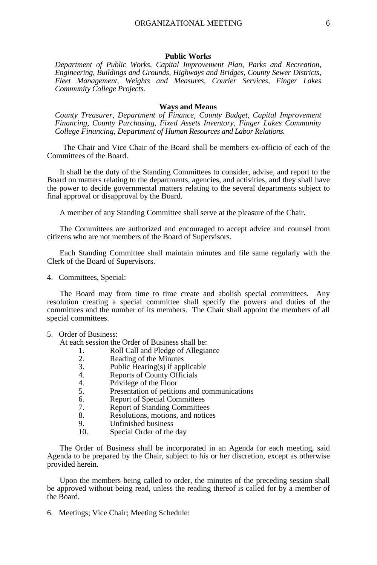#### **Public Works**

*Department of Public Works, Capital Improvement Plan, Parks and Recreation, Engineering, Buildings and Grounds, Highways and Bridges, County Sewer Districts, Fleet Management, Weights and Measures, Courier Services, Finger Lakes Community College Projects.*

#### **Ways and Means**

*County Treasurer, Department of Finance, County Budget, Capital Improvement Financing, County Purchasing, Fixed Assets Inventory, Finger Lakes Community College Financing, Department of Human Resources and Labor Relations.*

The Chair and Vice Chair of the Board shall be members ex-officio of each of the Committees of the Board.

It shall be the duty of the Standing Committees to consider, advise, and report to the Board on matters relating to the departments, agencies, and activities, and they shall have the power to decide governmental matters relating to the several departments subject to final approval or disapproval by the Board.

A member of any Standing Committee shall serve at the pleasure of the Chair.

The Committees are authorized and encouraged to accept advice and counsel from citizens who are not members of the Board of Supervisors.

Each Standing Committee shall maintain minutes and file same regularly with the Clerk of the Board of Supervisors.

4. Committees, Special:

The Board may from time to time create and abolish special committees. Any resolution creating a special committee shall specify the powers and duties of the committees and the number of its members. The Chair shall appoint the members of all special committees.

# 5. Order of Business:

At each session the Order of Business shall be:

- 1. Roll Call and Pledge of Allegiance<br>2. Reading of the Minutes
- 2. Reading of the Minutes<br>3. Public Hearing(s) if app
- 3. Public Hearing(s) if applicable<br>4. Reports of County Officials
- 4. Reports of County Officials<br>4. Privilege of the Floor
- 4. Privilege of the Floor<br>5. Presentation of petition
- Presentation of petitions and communications
- 6. Report of Special Committees<br>7. Report of Standing Committee
- 7. Report of Standing Committees<br>8. Resolutions motions and notice
- 8. Resolutions, motions, and notices<br>9. Unfinished business
- 9. Unfinished business<br>10. Special Order of the
- Special Order of the day

The Order of Business shall be incorporated in an Agenda for each meeting, said Agenda to be prepared by the Chair, subject to his or her discretion, except as otherwise provided herein.

Upon the members being called to order, the minutes of the preceding session shall be approved without being read, unless the reading thereof is called for by a member of the Board.

6. Meetings; Vice Chair; Meeting Schedule: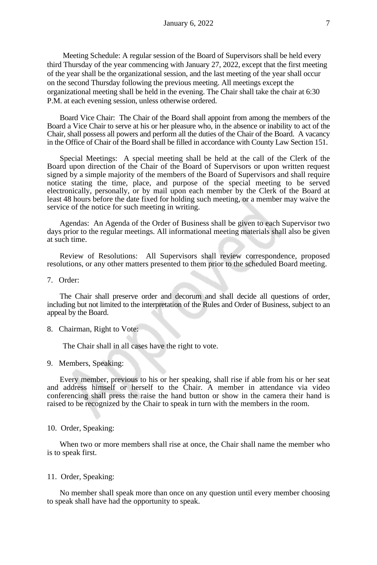Meeting Schedule: A regular session of the Board of Supervisors shall be held every third Thursday of the year commencing with January 27, 2022, except that the first meeting of the year shall be the organizational session, and the last meeting of the year shall occur on the second Thursday following the previous meeting. All meetings except the organizational meeting shall be held in the evening. The Chair shall take the chair at 6:30 P.M. at each evening session, unless otherwise ordered.

Board Vice Chair: The Chair of the Board shall appoint from among the members of the Board a Vice Chair to serve at his or her pleasure who, in the absence or inability to act of the Chair, shall possess all powers and perform all the duties of the Chair of the Board. A vacancy in the Office of Chair of the Board shall be filled in accordance with County Law Section 151.

Special Meetings: A special meeting shall be held at the call of the Clerk of the Board upon direction of the Chair of the Board of Supervisors or upon written request signed by a simple majority of the members of the Board of Supervisors and shall require notice stating the time, place, and purpose of the special meeting to be served electronically, personally, or by mail upon each member by the Clerk of the Board at least 48 hours before the date fixed for holding such meeting, or a member may waive the service of the notice for such meeting in writing.

Agendas: An Agenda of the Order of Business shall be given to each Supervisor two days prior to the regular meetings. All informational meeting materials shall also be given at such time.

Review of Resolutions: All Supervisors shall review correspondence, proposed resolutions, or any other matters presented to them prior to the scheduled Board meeting.

7. Order:

The Chair shall preserve order and decorum and shall decide all questions of order, including but not limited to the interpretation of the Rules and Order of Business, subject to an appeal by the Board.

8. Chairman, Right to Vote:

The Chair shall in all cases have the right to vote.

9. Members, Speaking:

Every member, previous to his or her speaking, shall rise if able from his or her seat and address himself or herself to the Chair. A member in attendance via video conferencing shall press the raise the hand button or show in the camera their hand is raised to be recognized by the Chair to speak in turn with the members in the room.

# 10. Order, Speaking:

When two or more members shall rise at once, the Chair shall name the member who is to speak first.

## 11. Order, Speaking:

No member shall speak more than once on any question until every member choosing to speak shall have had the opportunity to speak.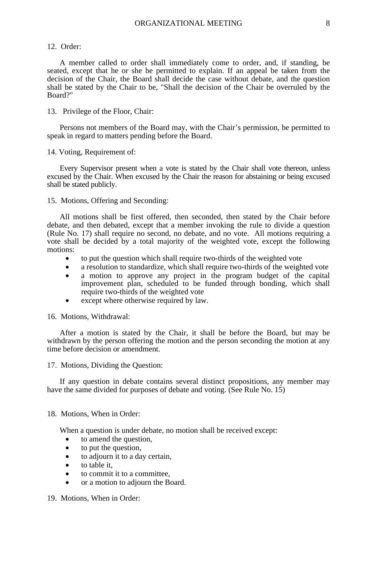## 12. Order:

A member called to order shall immediately come to order, and, if standing, be seated, except that he or she be permitted to explain. If an appeal be taken from the decision of the Chair, the Board shall decide the case without debate, and the question shall be stated by the Chair to be, "Shall the decision of the Chair be overruled by the Board?"

## 13. Privilege of the Floor, Chair:

Persons not members of the Board may, with the Chair's permission, be permitted to speak in regard to matters pending before the Board.

### 14. Voting, Requirement of:

Every Supervisor present when a vote is stated by the Chair shall vote thereon, unless excused by the Chair. When excused by the Chair the reason for abstaining or being excused shall be stated publicly.

15. Motions, Offering and Seconding:

All motions shall be first offered, then seconded, then stated by the Chair before debate, and then debated, except that a member invoking the rule to divide a question (Rule No. 17) shall require no second, no debate, and no vote. All motions requiring a vote shall be decided by a total majority of the weighted vote, except the following motions:

- to put the question which shall require two-thirds of the weighted vote
- a resolution to standardize, which shall require two-thirds of the weighted vote a motion to approve any project in the program budget of the capital
- improvement plan, scheduled to be funded through bonding, which shall require two-thirds of the weighted vote
- except where otherwise required by law.

16. Motions, Withdrawal:

After a motion is stated by the Chair, it shall be before the Board, but may be withdrawn by the person offering the motion and the person seconding the motion at any time before decision or amendment.

17. Motions, Dividing the Question:

If any question in debate contains several distinct propositions, any member may have the same divided for purposes of debate and voting. (See Rule No. 15)

## 18. Motions, When in Order:

When a question is under debate, no motion shall be received except:

- to amend the question,
- to put the question,
- to adjourn it to a day certain,
- to table it,
- to commit it to a committee,
- or a motion to adjourn the Board.

19. Motions, When in Order: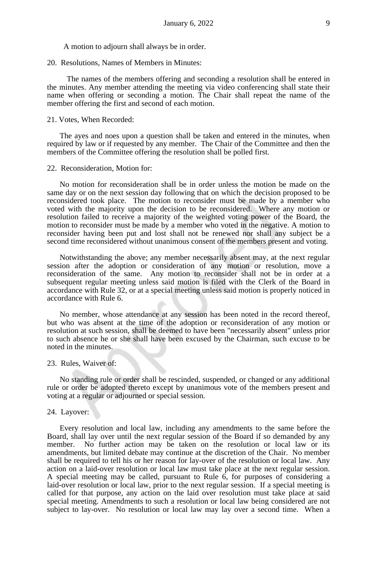A motion to adjourn shall always be in order.

20. Resolutions, Names of Members in Minutes:

The names of the members offering and seconding a resolution shall be entered in the minutes. Any member attending the meeting via video conferencing shall state their name when offering or seconding a motion. The Chair shall repeat the name of the member offering the first and second of each motion.

# 21. Votes, When Recorded:

The ayes and noes upon a question shall be taken and entered in the minutes, when required by law or if requested by any member. The Chair of the Committee and then the members of the Committee offering the resolution shall be polled first.

#### 22. Reconsideration, Motion for:

No motion for reconsideration shall be in order unless the motion be made on the same day or on the next session day following that on which the decision proposed to be reconsidered took place. The motion to reconsider must be made by a member who voted with the majority upon the decision to be reconsidered. Where any motion or resolution failed to receive a majority of the weighted voting power of the Board, the motion to reconsider must be made by a member who voted in the negative. A motion to reconsider having been put and lost shall not be renewed nor shall any subject be a second time reconsidered without unanimous consent of the members present and voting.

Notwithstanding the above; any member necessarily absent may, at the next regular session after the adoption or consideration of any motion or resolution, move a reconsideration of the same. Any motion to reconsider shall not be in order at a subsequent regular meeting unless said motion is filed with the Clerk of the Board in accordance with Rule 32, or at a special meeting unless said motion is properly noticed in accordance with Rule 6.

No member, whose attendance at any session has been noted in the record thereof, but who was absent at the time of the adoption or reconsideration of any motion or resolution at such session, shall be deemed to have been "necessarily absent" unless prior to such absence he or she shall have been excused by the Chairman, such excuse to be noted in the minutes.

#### 23. Rules, Waiver of:

No standing rule or order shall be rescinded, suspended, or changed or any additional rule or order be adopted thereto except by unanimous vote of the members present and voting at a regular or adjourned or special session.

## 24. Layover:

Every resolution and local law, including any amendments to the same before the Board, shall lay over until the next regular session of the Board if so demanded by any member. No further action may be taken on the resolution or local law or its amendments, but limited debate may continue at the discretion of the Chair. No member shall be required to tell his or her reason for lay-over of the resolution or local law. Any action on a laid-over resolution or local law must take place at the next regular session. A special meeting may be called, pursuant to Rule 6, for purposes of considering a laid-over resolution or local law, prior to the next regular session. If a special meeting is called for that purpose, any action on the laid over resolution must take place at said special meeting. Amendments to such a resolution or local law being considered are not subject to lay-over. No resolution or local law may lay over a second time. When a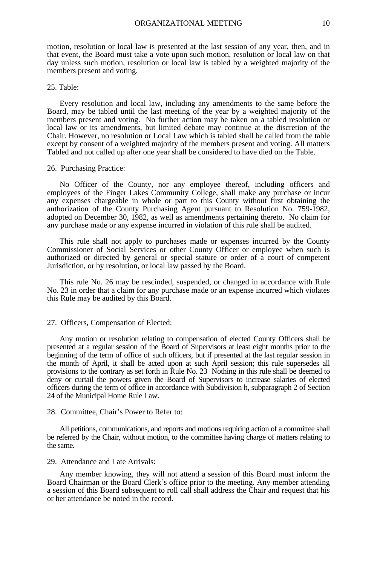motion, resolution or local law is presented at the last session of any year, then, and in that event, the Board must take a vote upon such motion, resolution or local law on that day unless such motion, resolution or local law is tabled by a weighted majority of the members present and voting.

#### 25. Table:

Every resolution and local law, including any amendments to the same before the Board, may be tabled until the last meeting of the year by a weighted majority of the members present and voting. No further action may be taken on a tabled resolution or local law or its amendments, but limited debate may continue at the discretion of the Chair. However, no resolution or Local Law which is tabled shall be called from the table except by consent of a weighted majority of the members present and voting. All matters Tabled and not called up after one year shall be considered to have died on the Table.

#### 26. Purchasing Practice:

No Officer of the County, nor any employee thereof, including officers and employees of the Finger Lakes Community College, shall make any purchase or incur any expenses chargeable in whole or part to this County without first obtaining the authorization of the County Purchasing Agent pursuant to Resolution No. 759-1982, adopted on December 30, 1982, as well as amendments pertaining thereto. No claim for any purchase made or any expense incurred in violation of this rule shall be audited.

This rule shall not apply to purchases made or expenses incurred by the County Commissioner of Social Services or other County Officer or employee when such is authorized or directed by general or special stature or order of a court of competent Jurisdiction, or by resolution, or local law passed by the Board.

This rule No. 26 may be rescinded, suspended, or changed in accordance with Rule No. 23 in order that a claim for any purchase made or an expense incurred which violates this Rule may be audited by this Board.

### 27. Officers, Compensation of Elected:

Any motion or resolution relating to compensation of elected County Officers shall be presented at a regular session of the Board of Supervisors at least eight months prior to the beginning of the term of office of such officers, but if presented at the last regular session in the month of April, it shall be acted upon at such April session; this rule supersedes all provisions to the contrary as set forth in Rule No. 23 Nothing in this rule shall be deemed to deny or curtail the powers given the Board of Supervisors to increase salaries of elected officers during the term of office in accordance with Subdivision h, subparagraph 2 of Section 24 of the Municipal Home Rule Law.

### 28. Committee, Chair's Power to Refer to:

All petitions, communications, and reports and motions requiring action of a committee shall be referred by the Chair, without motion, to the committee having charge of matters relating to the same.

### 29. Attendance and Late Arrivals:

Any member knowing, they will not attend a session of this Board must inform the Board Chairman or the Board Clerk's office prior to the meeting. Any member attending a session of this Board subsequent to roll call shall address the Chair and request that his or her attendance be noted in the record.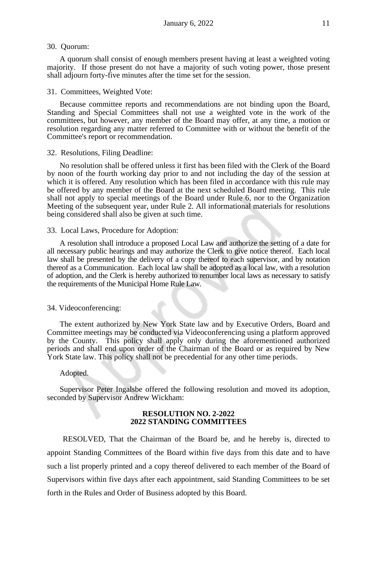## 30. Quorum:

A quorum shall consist of enough members present having at least a weighted voting majority. If those present do not have a majority of such voting power, those present shall adjourn forty-five minutes after the time set for the session.

#### 31. Committees, Weighted Vote:

Because committee reports and recommendations are not binding upon the Board, Standing and Special Committees shall not use a weighted vote in the work of the committees, but however, any member of the Board may offer, at any time, a motion or resolution regarding any matter referred to Committee with or without the benefit of the Committee's report or recommendation.

#### 32. Resolutions, Filing Deadline:

No resolution shall be offered unless it first has been filed with the Clerk of the Board by noon of the fourth working day prior to and not including the day of the session at which it is offered. Any resolution which has been filed in accordance with this rule may be offered by any member of the Board at the next scheduled Board meeting. This rule shall not apply to special meetings of the Board under Rule 6, nor to the Organization Meeting of the subsequent year, under Rule 2. All informational materials for resolutions being considered shall also be given at such time.

#### 33. Local Laws, Procedure for Adoption:

A resolution shall introduce a proposed Local Law and authorize the setting of a date for all necessary public hearings and may authorize the Clerk to give notice thereof. Each local law shall be presented by the delivery of a copy thereof to each supervisor, and by notation thereof as a Communication. Each local law shall be adopted as a local law, with a resolution of adoption, and the Clerk is hereby authorized to renumber local laws as necessary to satisfy the requirements of the Municipal Home Rule Law.

### 34. Videoconferencing:

The extent authorized by New York State law and by Executive Orders, Board and Committee meetings may be conducted via Videoconferencing using a platform approved by the County. This policy shall apply only during the aforementioned authorized periods and shall end upon order of the Chairman of the Board or as required by New York State law. This policy shall not be precedential for any other time periods.

#### Adopted.

Supervisor Peter Ingalsbe offered the following resolution and moved its adoption, seconded by Supervisor Andrew Wickham:

#### **RESOLUTION NO. 2-2022 2022 STANDING COMMITTEES**

RESOLVED, That the Chairman of the Board be, and he hereby is, directed to appoint Standing Committees of the Board within five days from this date and to have such a list properly printed and a copy thereof delivered to each member of the Board of Supervisors within five days after each appointment, said Standing Committees to be set forth in the Rules and Order of Business adopted by this Board.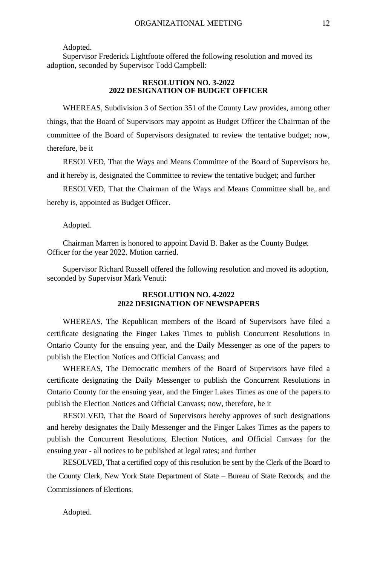Adopted.

Supervisor Frederick Lightfoote offered the following resolution and moved its adoption, seconded by Supervisor Todd Campbell:

# **RESOLUTION NO. 3-2022 2022 DESIGNATION OF BUDGET OFFICER**

WHEREAS, Subdivision 3 of Section 351 of the County Law provides, among other things, that the Board of Supervisors may appoint as Budget Officer the Chairman of the committee of the Board of Supervisors designated to review the tentative budget; now, therefore, be it

RESOLVED, That the Ways and Means Committee of the Board of Supervisors be, and it hereby is, designated the Committee to review the tentative budget; and further

RESOLVED, That the Chairman of the Ways and Means Committee shall be, and hereby is, appointed as Budget Officer.

Adopted.

Chairman Marren is honored to appoint David B. Baker as the County Budget Officer for the year 2022. Motion carried.

Supervisor Richard Russell offered the following resolution and moved its adoption, seconded by Supervisor Mark Venuti:

## **RESOLUTION NO. 4-2022 2022 DESIGNATION OF NEWSPAPERS**

WHEREAS, The Republican members of the Board of Supervisors have filed a certificate designating the Finger Lakes Times to publish Concurrent Resolutions in Ontario County for the ensuing year, and the Daily Messenger as one of the papers to publish the Election Notices and Official Canvass; and

WHEREAS, The Democratic members of the Board of Supervisors have filed a certificate designating the Daily Messenger to publish the Concurrent Resolutions in Ontario County for the ensuing year, and the Finger Lakes Times as one of the papers to publish the Election Notices and Official Canvass; now, therefore, be it

RESOLVED, That the Board of Supervisors hereby approves of such designations and hereby designates the Daily Messenger and the Finger Lakes Times as the papers to publish the Concurrent Resolutions, Election Notices, and Official Canvass for the ensuing year - all notices to be published at legal rates; and further

RESOLVED, That a certified copy of this resolution be sent by the Clerk of the Board to the County Clerk, New York State Department of State – Bureau of State Records, and the Commissioners of Elections.

Adopted.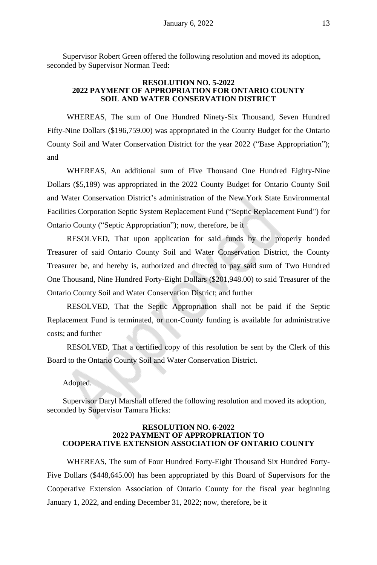Supervisor Robert Green offered the following resolution and moved its adoption, seconded by Supervisor Norman Teed:

## **RESOLUTION NO. 5-2022 2022 PAYMENT OF APPROPRIATION FOR ONTARIO COUNTY SOIL AND WATER CONSERVATION DISTRICT**

WHEREAS, The sum of One Hundred Ninety-Six Thousand, Seven Hundred Fifty-Nine Dollars (\$196,759.00) was appropriated in the County Budget for the Ontario County Soil and Water Conservation District for the year 2022 ("Base Appropriation"); and

WHEREAS, An additional sum of Five Thousand One Hundred Eighty-Nine Dollars (\$5,189) was appropriated in the 2022 County Budget for Ontario County Soil and Water Conservation District's administration of the New York State Environmental Facilities Corporation Septic System Replacement Fund ("Septic Replacement Fund") for Ontario County ("Septic Appropriation"); now, therefore, be it

RESOLVED, That upon application for said funds by the properly bonded Treasurer of said Ontario County Soil and Water Conservation District, the County Treasurer be, and hereby is, authorized and directed to pay said sum of Two Hundred One Thousand, Nine Hundred Forty-Eight Dollars (\$201,948.00) to said Treasurer of the Ontario County Soil and Water Conservation District; and further

RESOLVED, That the Septic Appropriation shall not be paid if the Septic Replacement Fund is terminated, or non-County funding is available for administrative costs; and further

RESOLVED, That a certified copy of this resolution be sent by the Clerk of this Board to the Ontario County Soil and Water Conservation District.

## Adopted.

Supervisor Daryl Marshall offered the following resolution and moved its adoption, seconded by Supervisor Tamara Hicks:

## **RESOLUTION NO. 6-2022 2022 PAYMENT OF APPROPRIATION TO COOPERATIVE EXTENSION ASSOCIATION OF ONTARIO COUNTY**

WHEREAS, The sum of Four Hundred Forty-Eight Thousand Six Hundred Forty-Five Dollars (\$448,645.00) has been appropriated by this Board of Supervisors for the Cooperative Extension Association of Ontario County for the fiscal year beginning January 1, 2022, and ending December 31, 2022; now, therefore, be it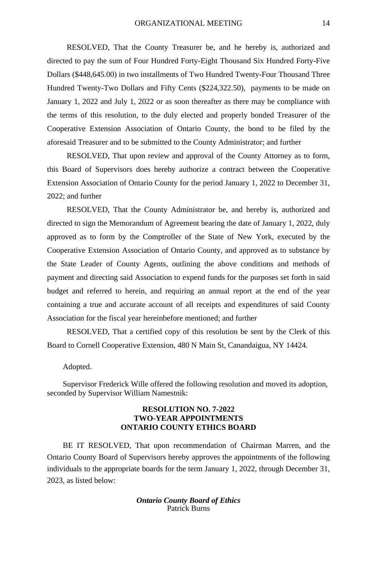RESOLVED, That the County Treasurer be, and he hereby is, authorized and directed to pay the sum of Four Hundred Forty-Eight Thousand Six Hundred Forty-Five Dollars (\$448,645.00) in two installments of Two Hundred Twenty-Four Thousand Three Hundred Twenty-Two Dollars and Fifty Cents (\$224,322.50), payments to be made on January 1, 2022 and July 1, 2022 or as soon thereafter as there may be compliance with the terms of this resolution, to the duly elected and properly bonded Treasurer of the Cooperative Extension Association of Ontario County, the bond to be filed by the aforesaid Treasurer and to be submitted to the County Administrator; and further

RESOLVED, That upon review and approval of the County Attorney as to form, this Board of Supervisors does hereby authorize a contract between the Cooperative Extension Association of Ontario County for the period January 1, 2022 to December 31, 2022; and further

RESOLVED, That the County Administrator be, and hereby is, authorized and directed to sign the Memorandum of Agreement bearing the date of January 1, 2022, duly approved as to form by the Comptroller of the State of New York, executed by the Cooperative Extension Association of Ontario County, and approved as to substance by the State Leader of County Agents, outlining the above conditions and methods of payment and directing said Association to expend funds for the purposes set forth in said budget and referred to herein, and requiring an annual report at the end of the year containing a true and accurate account of all receipts and expenditures of said County Association for the fiscal year hereinbefore mentioned; and further

RESOLVED, That a certified copy of this resolution be sent by the Clerk of this Board to Cornell Cooperative Extension, 480 N Main St, Canandaigua, NY 14424.

#### Adopted.

Supervisor Frederick Wille offered the following resolution and moved its adoption, seconded by Supervisor William Namestnik:

# **RESOLUTION NO. 7-2022 TWO-YEAR APPOINTMENTS ONTARIO COUNTY ETHICS BOARD**

BE IT RESOLVED, That upon recommendation of Chairman Marren, and the Ontario County Board of Supervisors hereby approves the appointments of the following individuals to the appropriate boards for the term January 1, 2022, through December 31, 2023, as listed below:

> *Ontario County Board of Ethics* Patrick Burns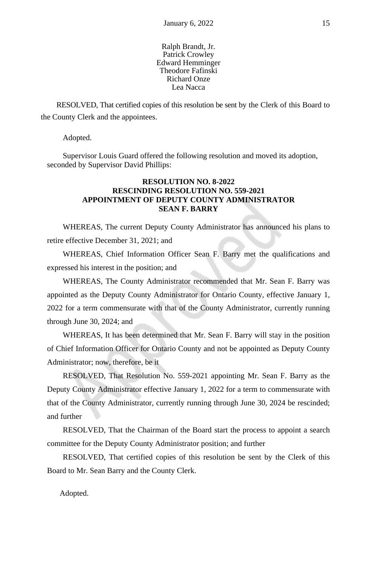## Ralph Brandt, Jr. Patrick Crowley Edward Hemminger Theodore Fafinski Richard Onze Lea Nacca

RESOLVED, That certified copies of this resolution be sent by the Clerk of this Board to the County Clerk and the appointees.

Adopted.

Supervisor Louis Guard offered the following resolution and moved its adoption, seconded by Supervisor David Phillips:

# **RESOLUTION NO. 8-2022 RESCINDING RESOLUTION NO. 559-2021 APPOINTMENT OF DEPUTY COUNTY ADMINISTRATOR SEAN F. BARRY**

WHEREAS, The current Deputy County Administrator has announced his plans to retire effective December 31, 2021; and

WHEREAS, Chief Information Officer Sean F. Barry met the qualifications and expressed his interest in the position; and

WHEREAS, The County Administrator recommended that Mr. Sean F. Barry was appointed as the Deputy County Administrator for Ontario County, effective January 1, 2022 for a term commensurate with that of the County Administrator, currently running through June 30, 2024; and

WHEREAS, It has been determined that Mr. Sean F. Barry will stay in the position of Chief Information Officer for Ontario County and not be appointed as Deputy County Administrator; now, therefore, be it

RESOLVED, That Resolution No. 559-2021 appointing Mr. Sean F. Barry as the Deputy County Administrator effective January 1, 2022 for a term to commensurate with that of the County Administrator, currently running through June 30, 2024 be rescinded; and further

RESOLVED, That the Chairman of the Board start the process to appoint a search committee for the Deputy County Administrator position; and further

RESOLVED, That certified copies of this resolution be sent by the Clerk of this Board to Mr. Sean Barry and the County Clerk.

Adopted.